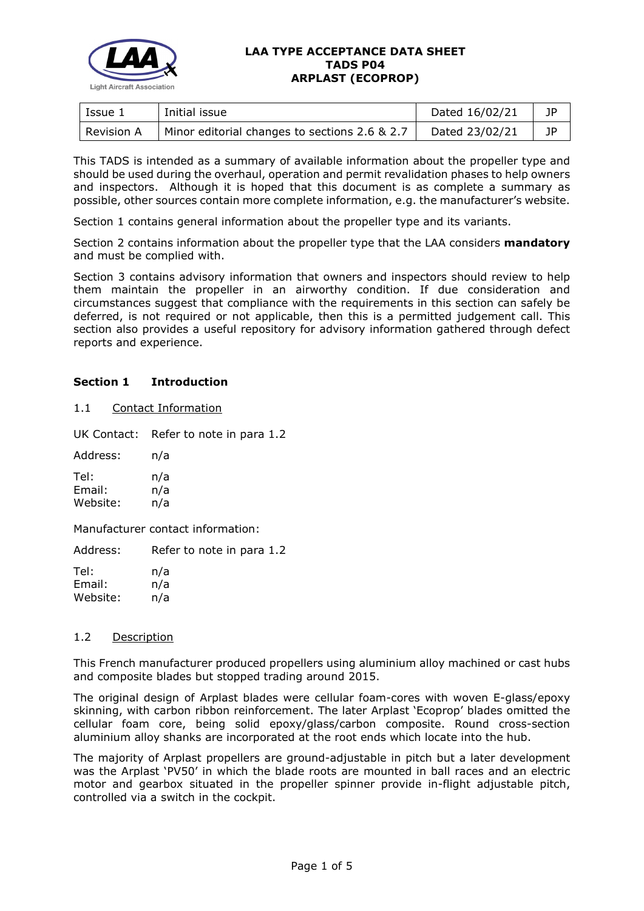

#### **LAA TYPE ACCEPTANCE DATA SHEET TADS P04 ARPLAST (ECOPROP)**

| Issue 1           | Initial issue                                 | Dated 16/02/21 | JP |
|-------------------|-----------------------------------------------|----------------|----|
| <b>Revision A</b> | Minor editorial changes to sections 2.6 & 2.7 | Dated 23/02/21 | JP |

This TADS is intended as a summary of available information about the propeller type and should be used during the overhaul, operation and permit revalidation phases to help owners and inspectors. Although it is hoped that this document is as complete a summary as possible, other sources contain more complete information, e.g. the manufacturer's website.

Section 1 contains general information about the propeller type and its variants.

Section 2 contains information about the propeller type that the LAA considers **mandatory** and must be complied with.

Section 3 contains advisory information that owners and inspectors should review to help them maintain the propeller in an airworthy condition. If due consideration and circumstances suggest that compliance with the requirements in this section can safely be deferred, is not required or not applicable, then this is a permitted judgement call. This section also provides a useful repository for advisory information gathered through defect reports and experience.

# **Section 1 Introduction**

## 1.1 Contact Information

UK Contact: Refer to note in para 1.2

Address: n/a Tel: n/a Email: n/a Website: n/a

Manufacturer contact information:

Address: Refer to note in para 1.2

Tel: n/a Email: n/a Website: n/a

## 1.2 Description

This French manufacturer produced propellers using aluminium alloy machined or cast hubs and composite blades but stopped trading around 2015.

The original design of Arplast blades were cellular foam-cores with woven E-glass/epoxy skinning, with carbon ribbon reinforcement. The later Arplast 'Ecoprop' blades omitted the cellular foam core, being solid epoxy/glass/carbon composite. Round cross-section aluminium alloy shanks are incorporated at the root ends which locate into the hub.

The majority of Arplast propellers are ground-adjustable in pitch but a later development was the Arplast 'PV50' in which the blade roots are mounted in ball races and an electric motor and gearbox situated in the propeller spinner provide in-flight adjustable pitch, controlled via a switch in the cockpit.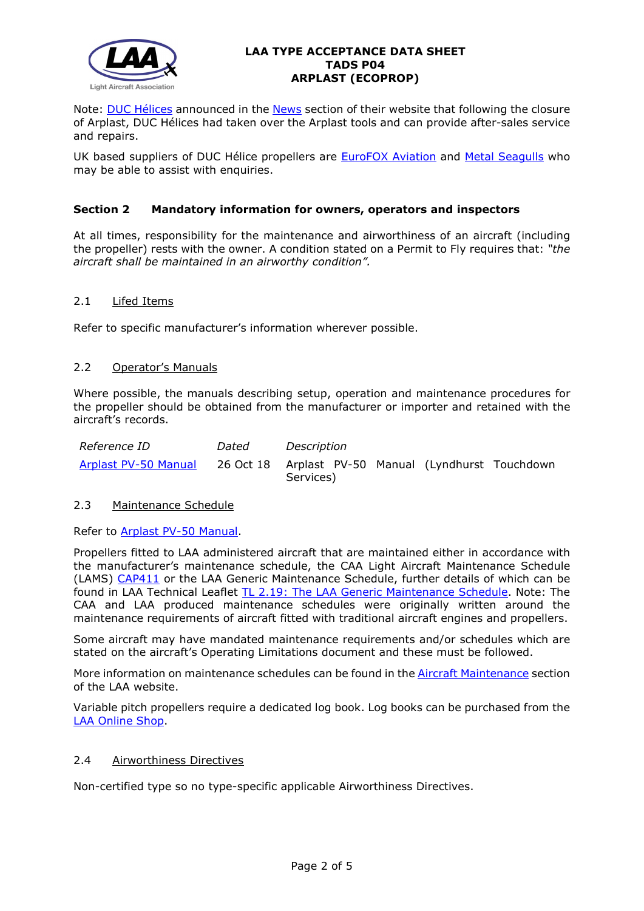

#### **LAA TYPE ACCEPTANCE DATA SHEET TADS P04 ARPLAST (ECOPROP)**

Note: [DUC Hélices](http://www.duc-helices.com/index.php) announced in the [News](http://www.duc-helices.com/contenu.php?id_contenu=4&id_dossier=2) section of their website that following the closure of Arplast, DUC Hélices had taken over the Arplast tools and can provide after-sales service and repairs.

UK based suppliers of DUC Hélice propellers are **EuroFOX Aviation and [Metal Seagulls](http://www.metalseagulls.co.uk/)** who may be able to assist with enquiries.

# **Section 2 Mandatory information for owners, operators and inspectors**

At all times, responsibility for the maintenance and airworthiness of an aircraft (including the propeller) rests with the owner. A condition stated on a Permit to Fly requires that: *"the aircraft shall be maintained in an airworthy condition".* 

## 2.1 Lifed Items

Refer to specific manufacturer's information wherever possible.

## 2.2 Operator's Manuals

Where possible, the manuals describing setup, operation and maintenance procedures for the propeller should be obtained from the manufacturer or importer and retained with the aircraft's records.

| <i>Reference ID</i>  | Dated | Description                                                      |  |  |
|----------------------|-------|------------------------------------------------------------------|--|--|
| Arplast PV-50 Manual |       | 26 Oct 18 Arplast PV-50 Manual (Lyndhurst Touchdown<br>Services) |  |  |

## 2.3 Maintenance Schedule

Refer to [Arplast PV-50 Manual.](http://www.lightaircraftassociation.co.uk/engineering/TADs/P04/Arplast%20PV50%20Manual.pdf)

Propellers fitted to LAA administered aircraft that are maintained either in accordance with the manufacturer's maintenance schedule, the CAA Light Aircraft Maintenance Schedule (LAMS) [CAP411](http://www.caa.co.uk/CAP411) or the LAA Generic Maintenance Schedule, further details of which can be found in LAA Technical Leaflet [TL 2.19: The LAA Generic Maintenance Schedule.](http://www.lightaircraftassociation.co.uk/engineering/TechnicalLeaflets/Operating%20An%20Aircraft/TL%202.19%20The%20LAA%20Generic%20Maintenance%20Schedule.pdf) Note: The CAA and LAA produced maintenance schedules were originally written around the maintenance requirements of aircraft fitted with traditional aircraft engines and propellers.

Some aircraft may have mandated maintenance requirements and/or schedules which are stated on the aircraft's Operating Limitations document and these must be followed.

More information on maintenance schedules can be found in the [Aircraft Maintenance](http://www.lightaircraftassociation.co.uk/engineering/Maintenance/Aircraft_Maintenance.html) section of the LAA website.

Variable pitch propellers require a dedicated log book. Log books can be purchased from the [LAA Online Shop.](https://services.lightaircraftassociation.co.uk/catalog/265)

#### 2.4 Airworthiness Directives

Non-certified type so no type-specific applicable Airworthiness Directives.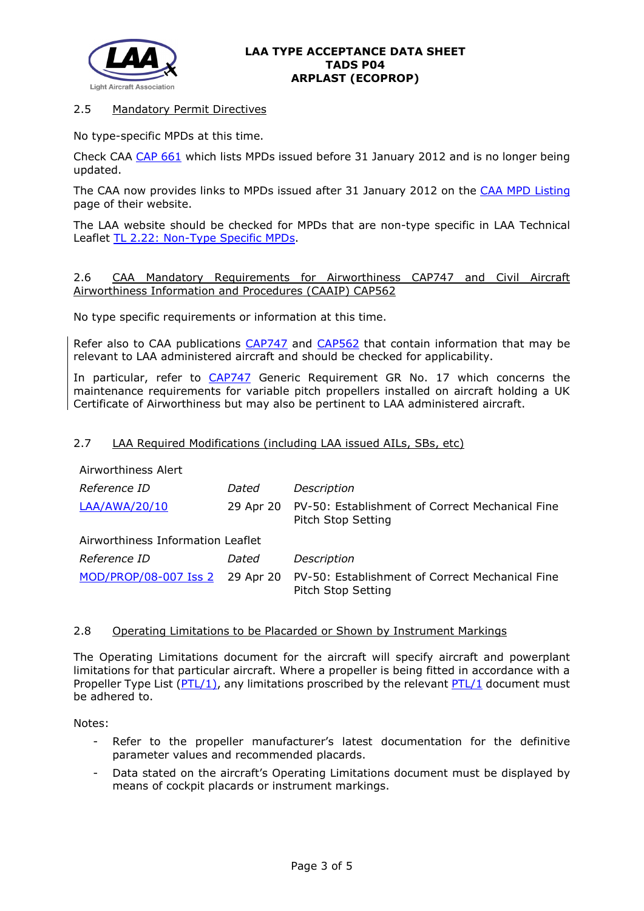

## 2.5 Mandatory Permit Directives

No type-specific MPDs at this time.

Check CAA [CAP 661](http://www.caa.co.uk/application.aspx?catid=33&pagetype=65&appid=11&mode=detail&id=215) which lists MPDs issued before 31 January 2012 and is no longer being updated.

The CAA now provides links to MPDs issued after 31 January 2012 on the [CAA MPD Listing](http://publicapps.caa.co.uk/modalapplication.aspx?appid=11&mode=list&type=sercat&id=55) page of their website.

The LAA website should be checked for MPDs that are non-type specific in LAA Technical Leaflet [TL 2.22: Non-Type Specific MPDs.](http://www.lightaircraftassociation.co.uk/engineering/TechnicalLeaflets/Operating%20An%20Aircraft/TL%202.22%20non-type%20specific%20MPDs.pdf)

2.6 CAA Mandatory Requirements for Airworthiness CAP747 and Civil Aircraft Airworthiness Information and Procedures (CAAIP) CAP562

No type specific requirements or information at this time.

Refer also to CAA publications [CAP747](http://www.caa.co.uk/CAP747) and [CAP562](http://www.caa.co.uk/CAP562) that contain information that may be relevant to LAA administered aircraft and should be checked for applicability.

In particular, refer to [CAP747](http://www.caa.co.uk/CAP747) Generic Requirement GR No. 17 which concerns the maintenance requirements for variable pitch propellers installed on aircraft holding a UK Certificate of Airworthiness but may also be pertinent to LAA administered aircraft.

#### 2.7 LAA Required Modifications (including LAA issued AILs, SBs, etc)

| Reference ID                      | Dated     | Description                                                           |  |  |
|-----------------------------------|-----------|-----------------------------------------------------------------------|--|--|
| LAA/AWA/20/10                     | 29 Apr 20 | PV-50: Establishment of Correct Mechanical Fine<br>Pitch Stop Setting |  |  |
| Airworthiness Information Leaflet |           |                                                                       |  |  |
| Reference ID                      | Dated     | Description                                                           |  |  |
| MOD/PROP/08-007 Iss 2 29 Apr 20   |           | PV-50: Establishment of Correct Mechanical Fine<br>Pitch Stop Setting |  |  |

#### 2.8 Operating Limitations to be Placarded or Shown by Instrument Markings

The Operating Limitations document for the aircraft will specify aircraft and powerplant limitations for that particular aircraft. Where a propeller is being fitted in accordance with a Propeller Type List ( $PTL/1$ ), any limitations proscribed by the relevant  $PTL/1$  document must be adhered to.

Notes:

- Refer to the propeller manufacturer's latest documentation for the definitive parameter values and recommended placards.
- Data stated on the aircraft's Operating Limitations document must be displayed by means of cockpit placards or instrument markings.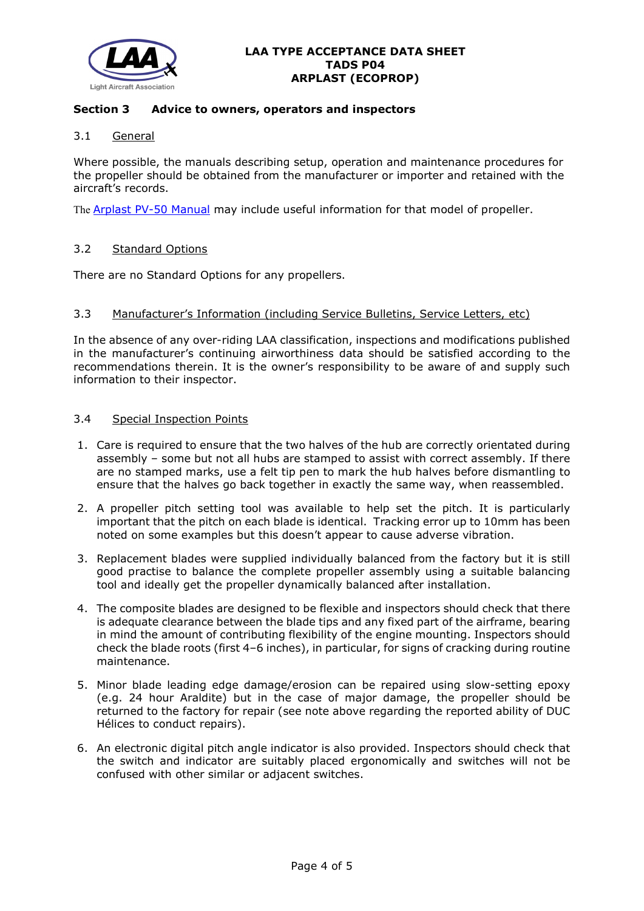

# **Section 3 Advice to owners, operators and inspectors**

# 3.1 General

Where possible, the manuals describing setup, operation and maintenance procedures for the propeller should be obtained from the manufacturer or importer and retained with the aircraft's records.

The [Arplast PV-50 Manual](http://www.lightaircraftassociation.co.uk/engineering/TADs/P04/Arplast%20PV50%20Manual.pdf) may include useful information for that model of propeller.

## 3.2 Standard Options

There are no Standard Options for any propellers.

#### 3.3 Manufacturer's Information (including Service Bulletins, Service Letters, etc)

In the absence of any over-riding LAA classification, inspections and modifications published in the manufacturer's continuing airworthiness data should be satisfied according to the recommendations therein. It is the owner's responsibility to be aware of and supply such information to their inspector.

### 3.4 Special Inspection Points

- 1. Care is required to ensure that the two halves of the hub are correctly orientated during assembly – some but not all hubs are stamped to assist with correct assembly. If there are no stamped marks, use a felt tip pen to mark the hub halves before dismantling to ensure that the halves go back together in exactly the same way, when reassembled.
- 2. A propeller pitch setting tool was available to help set the pitch. It is particularly important that the pitch on each blade is identical. Tracking error up to 10mm has been noted on some examples but this doesn't appear to cause adverse vibration.
- 3. Replacement blades were supplied individually balanced from the factory but it is still good practise to balance the complete propeller assembly using a suitable balancing tool and ideally get the propeller dynamically balanced after installation.
- 4. The composite blades are designed to be flexible and inspectors should check that there is adequate clearance between the blade tips and any fixed part of the airframe, bearing in mind the amount of contributing flexibility of the engine mounting. Inspectors should check the blade roots (first 4–6 inches), in particular, for signs of cracking during routine maintenance.
- 5. Minor blade leading edge damage/erosion can be repaired using slow-setting epoxy (e.g. 24 hour Araldite) but in the case of major damage, the propeller should be returned to the factory for repair (see note above regarding the reported ability of DUC Hélices to conduct repairs).
- 6. An electronic digital pitch angle indicator is also provided. Inspectors should check that the switch and indicator are suitably placed ergonomically and switches will not be confused with other similar or adjacent switches.